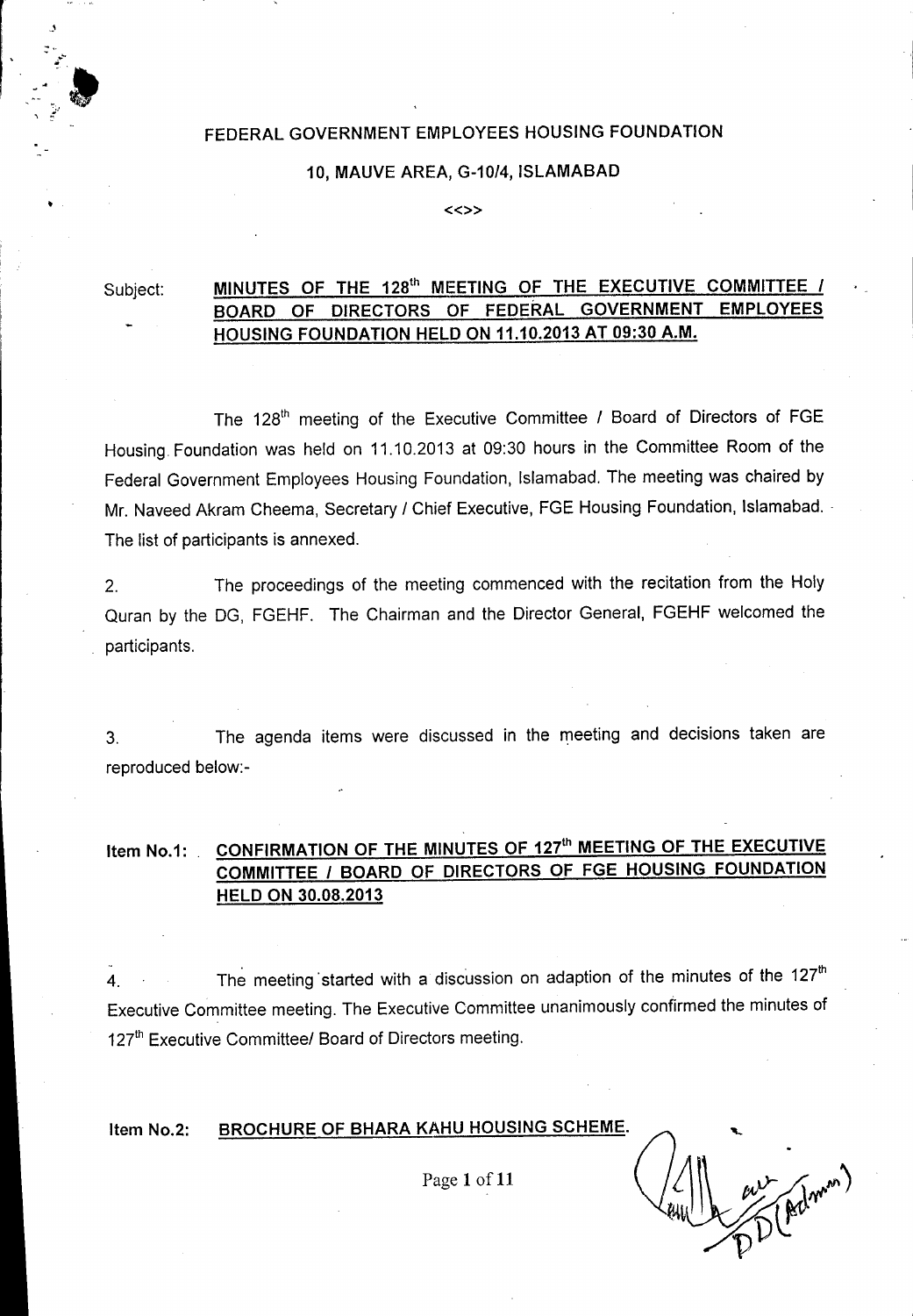## FEDERAL GOVERNMENT EMPLOYEES HOUSING FOUNDATION

#### 10, MAUVE AREA, *G-10/4,* ISLAMABAD

«»

## Subject: MINUTES OF THE 128<sup>th</sup> MEETING OF THE EXECUTIVE COMMITTEE *I* BOARD OF DIRECTORS OF FEDERAL GOVERNMENT EMPLOYEES HOUSING FOUNDATION HELD ON 11.10.2013 AT 09:30 A.M.

The 128<sup>th</sup> meeting of the Executive Committee / Board of Directors of FGE Housing. Foundation was held on 11.10.2013 at 09:30 hours in the Committee Room of the Federal Government Employees Housing Foundation, Islamabad. The meeting was chaired by Mr. Naveed Akram Cheema, Secretary *1* Chief Executive, FGE Housing Foundation, Islamabad. - The list of participants is annexed.

2. The proceedings of the meeting commenced with the recitation from the Holy Quran by the DG, FGEHF. The Chairman and the Director General, FGEHF welcomed the participants.

3. The agenda items were discussed in the meeting and decisions taken are reproduced below:-

## Item No.1: CONFIRMATION OF THE MINUTES OF 127<sup>th</sup> MEETING OF THE EXECUTIVE COMMITTEE *1* BOARD OF DIRECTORS OF FGE HOUSING FOUNDATION HELD ON 30.08.2013

4. The meeting started with a discussion on adaption of the minutes of the 127<sup>th</sup> Executive Committee meeting. The Executive Committee unanimously confirmed the minutes of 127<sup>th</sup> Executive Committee/ Board of Directors meeting.

#### BROCHURE OF BHARA KAHU HOUSING SCHEME. Item No.2:

Page 1 of 11

 $ewU2 \rightarrow \mathbb{R}eV$  $\mathcal{D}% _{M_{1},M_{2}}^{\alpha,\beta}(\varepsilon)$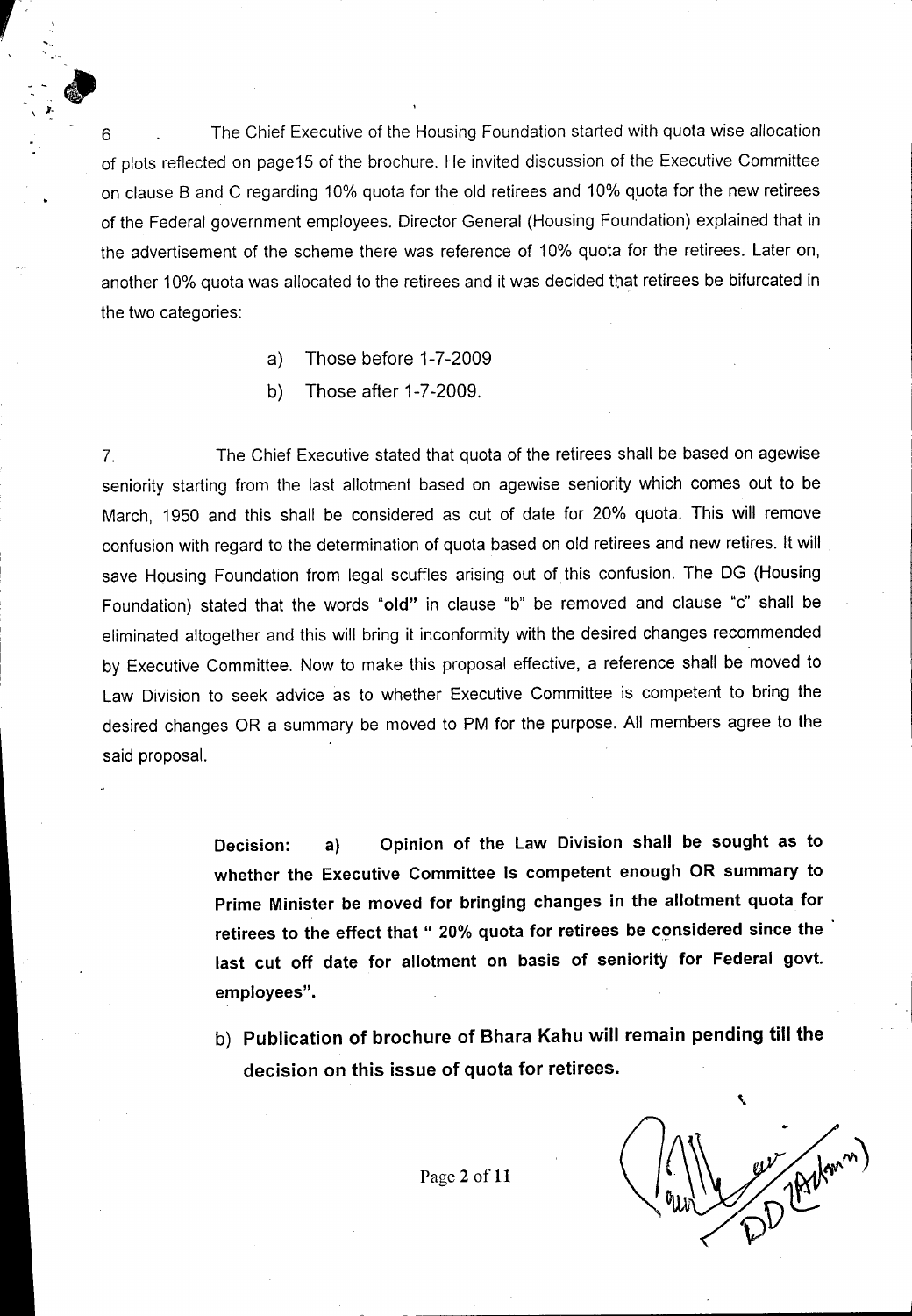6 6 The Chief Executive of the Housing Foundation started with quota wise allocation of plots reflected on page15 of the brochure. He invited discussion of the Executive Committee on clause B and C regarding 10% quota for the old retirees and 10% quota for the new retirees of the Federal government employees. Director General (Housing Foundation) explained that in the advertisement of the scheme there was reference of 10% quota for the retirees. Later on, another 10% quota was allocated to the retirees and it was decided that retirees be bifurcated in the two categories:

- a) Those before 1-7-2009
- b) Those after 1-7-2009.

7. The Chief Executive stated that quota of the retirees shall be based on agewise seniority starting from the last allotment based on agewise seniority which comes out to be March, 1950 and this shall be considered as cut of date for 20% quota. This will remove confusion with regard to the determination of quota based on old retirees and new retires. It will save Housing Foundation from legal scuffles arising out of this confusion. The DG (Housing Foundation) stated that the words "old" in clause "b" be removed and clause "c" shall be eliminated altogether and this will bring it inconformity with the desired changes recommended by Executive Committee. Now to make this proposal effective, a reference shall be moved to Law Division to seek advice as to whether Executive Committee is competent to bring the desired changes OR a summary be moved to PM for the purpose. All members agree to the said proposal.

> **Decision: a) Opinion of the Law Division shall be sought as to whether the Executive Committee is competent enough OR summary to Prime Minister be moved for bringing changes in the allotment quota for retirees to the effect that" 20% quota for retirees be** c~nsidered**since the last cut off date for allotment on basis of seniority for Federal govt. employees".**

> b) **Publication of brochure of Bhara Kahu will remain pending till the decision on this issue of quota for retirees.**

\

Page 2 of 11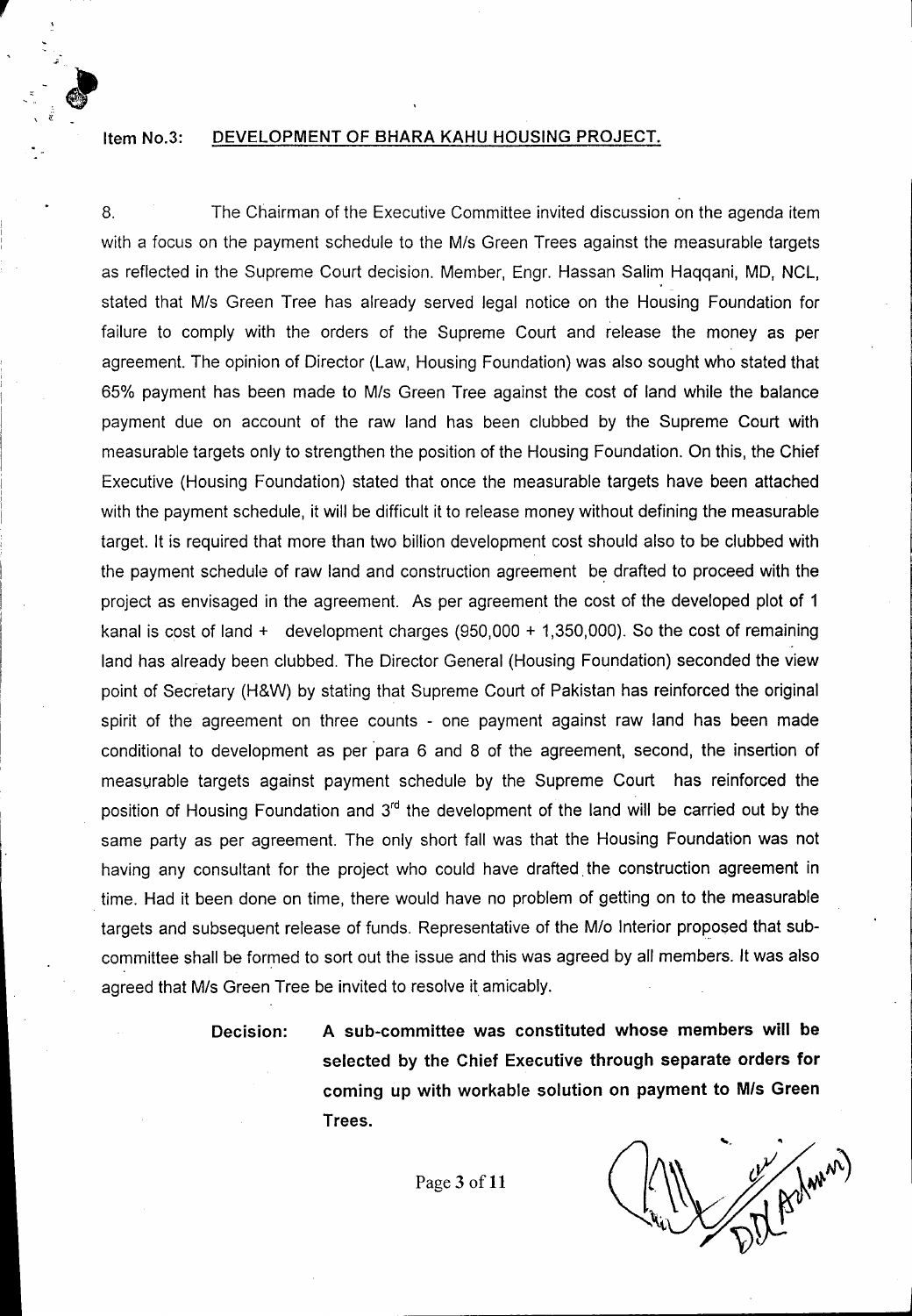### Item No.3: DEVELOPMENT OF BHARA KAHU HOUSING PROJECT.

,

\ ~-

8. The Chairman of the Executive Committee invited discussion on the agenda item with a focus on the payment schedule to the M/s Green Trees against the measurable targets as reflected in the Supreme Court decision. Member, Engr. Hassan Salim Haqqani, MD, NCL, stated that M/s Green Tree has already served legal notice on the Housing Foundation for failure to comply with the orders of the Supreme Court and release the money as per agreement. The opinion of Director (Law, Housing Foundation) was also sought who stated that 65% payment has been made to Mis Green Tree against the cost of land while the balance payment due on account of the raw land has been clubbed by the Supreme Court with measurable targets only to strengthen the position of the Housing Foundation. On this, the Chief Executive (Housing Foundation) stated that once the measurable targets have been attached with the payment schedule, it will be difficult it to release money without defining the measurable target. It is required that more than two billion development cost should also to be clubbed with the payment schedule of raw land and construction agreement be drafted to proceed with the project as envisaged in the agreement. As per agreement the cost of the developed plot of 1 kanal is cost of land + development charges (950,000 + 1,350,000). So the cost of remaining land has already been clubbed. The Director General (Housing Foundation) seconded the view point of Secretary (H&W) by stating that Supreme Court of Pakistan has reinforced the original spirit of the agreement on three counts - one payment against raw land has been made conditional to development as per 'para 6 and 8 of the agreement, second, the insertion of measurable targets against payment schedule by the Supreme Court has reinforced the position of Housing Foundation and 3<sup>rd</sup> the development of the land will be carried out by the same party as per agreement. The only short fall was that the Housing Foundation was not having any consultant for the project who could have drafted. the construction agreement in time. Had it been done on time, there would have no problem of getting on to the measurable targets and subsequent release of funds. Representative of the *Mlo* Interior proposed that subcommittee shall be formed to sort out the issue and this was agreed by all members. It was also agreed that M/s Green Tree be invited to resolve it amicably.

Decision: A sub-committee was constituted whose members will be selected by the Chief Executive through separate orders for coming up with workable solution on payment to *Mis* Green Trees.

Page 3 of 11

 $\sim$  June 2011 and  $\sim$  June 2011 and  $\sim$  June 2011 and  $\sim$  June 2011 and  $\sim$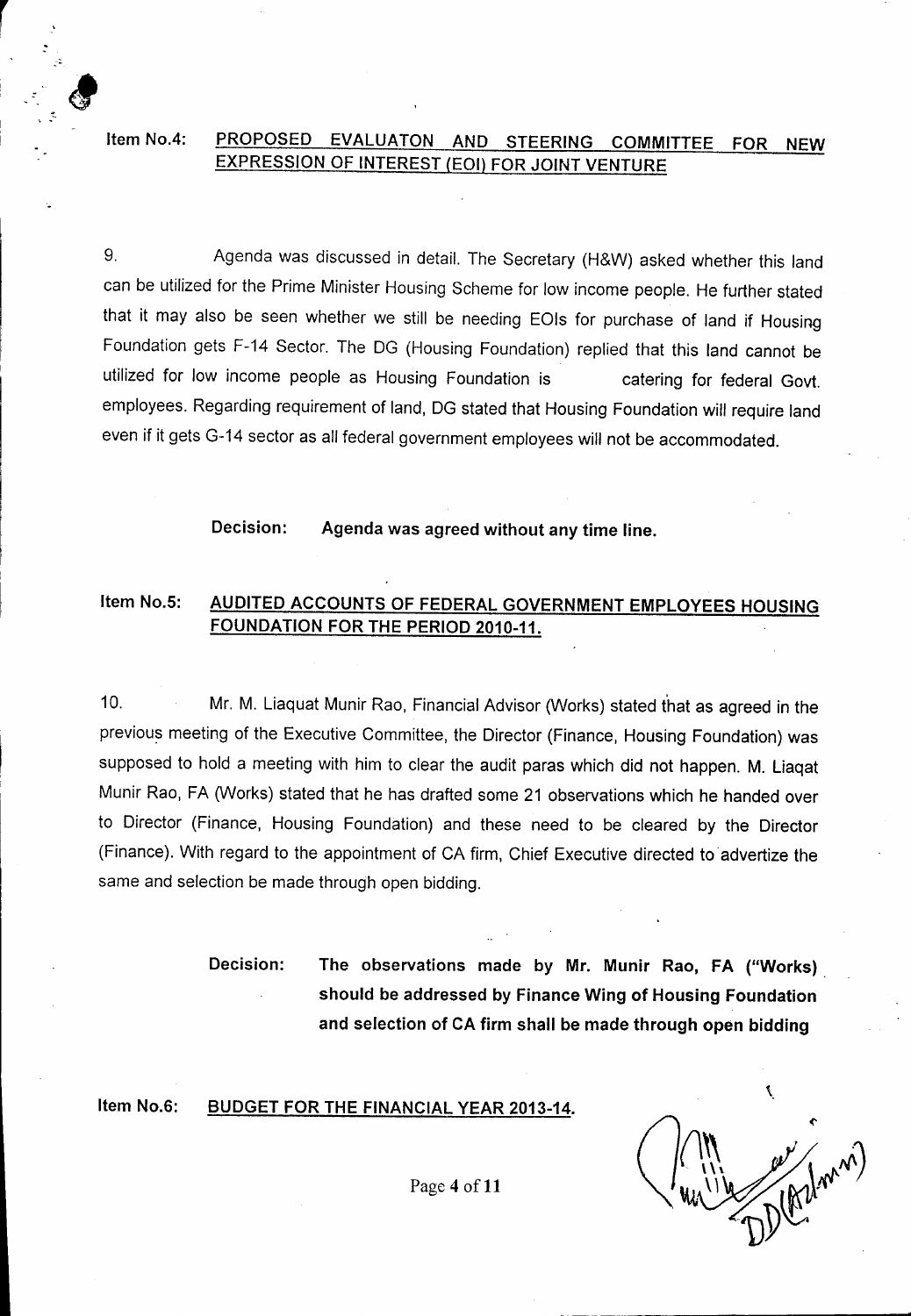## Item No.4: PROPOSED EVALUATON AND STEERING COMMITTEE FOR NEW EXPRESSION OF INTEREST (EOI) FOR JOINT VENTURE

r

'.

9. Agenda was discussed in detail. The Secretary (H&W) asked whether this land can be utilized for the Prime Minister Housing Scheme for low income people. He further stated that it may also be seen whether we still be needing EOls for purchase of land if Housing Foundation gets F-14 Sector. The DG (Housing Foundation) replied that this land cannot be utilized for low income people as Housing Foundation is catering for federal Govt. employees. Regarding requirement of land, DG stated that Housing Foundation will require land even if it gets G-14 sector as all federal government employees will not be accommodated.

Decision: Agenda was agreed without any time line.

## Item No.5: AUDITED ACCOUNTS OF FEDERAL GOVERNMENT EMPLOYEES HOUSING FOUNDATION FOR THE PERIOD 2010-11.

10. Mr. M. Liaquat Munir Rao, Financial Advisor (Works) stated that as agreed in the previous meeting of the Executive Committee, the Director (Finance, Housing Foundation) was supposed to hold a meeting with him to clear the audit paras which did not happen. M. Liaqat Munir Rao, FA (Works) stated that he has drafted some 21 observations which he handed over to Director (Finance, Housing Foundation) and these need to be cleared by the Director (Finance). With regard to the appointment of CA firm, Chief Executive directed to 'advertize the same and selection be made through open bidding.

> Decision: The observations made by Mr. Munir Rao, FA ("Works) should be addressed by Finance Wing of Housing Foundation and selection of CA firm shall be made through open bidding

#### Item No.6: BUDGET FOR THE FINANCIAL YEAR 2013-14.

Page 4 of 11

Å,

 $\mathcal{L}_\text{max}$  and  $\mathcal{L}_\text{max}$  is the set of the set of the set of the set of the set of the set of the set of the set of the set of the set of the set of the set of the set of the set of the set of the set of the set of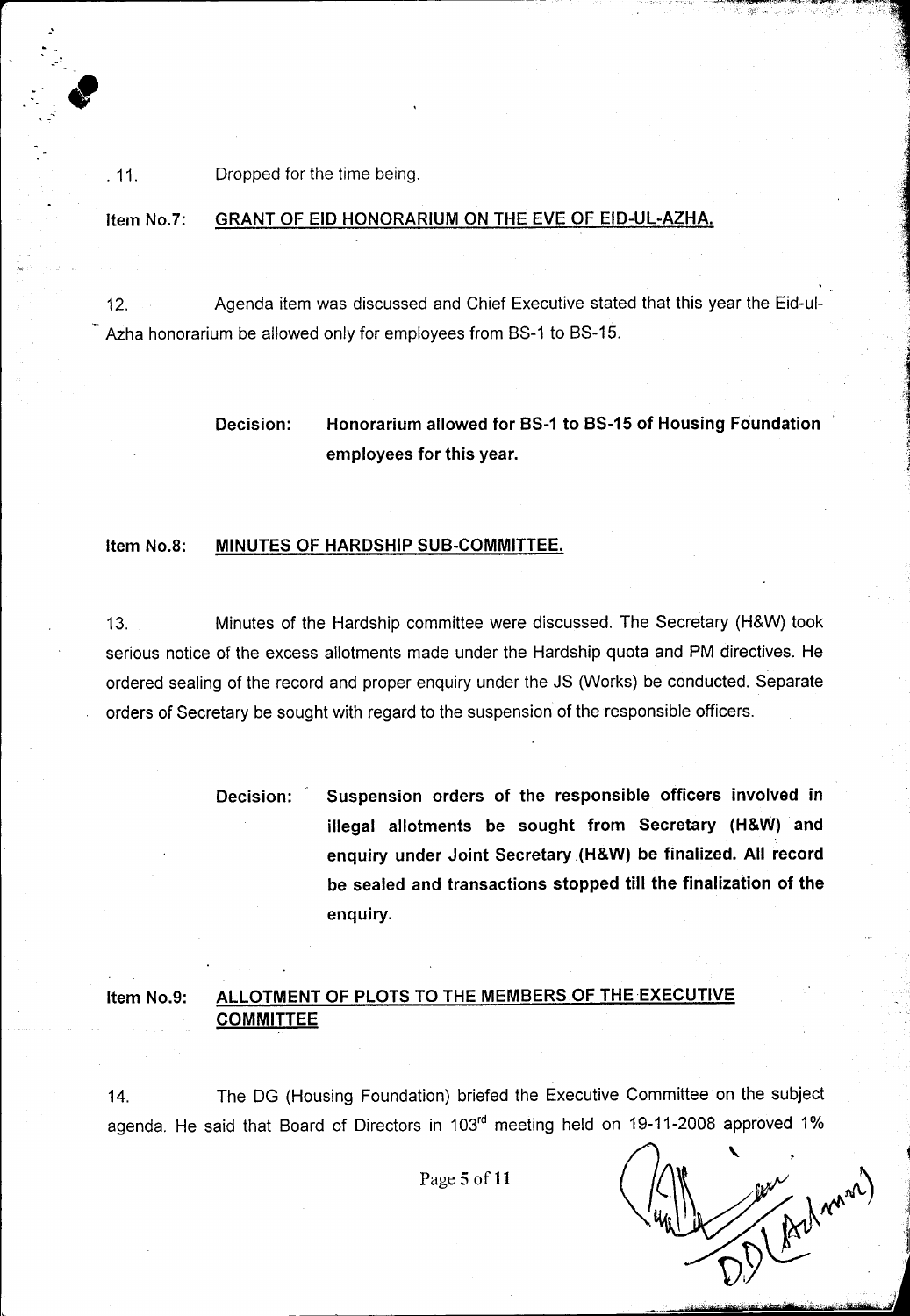. 11. Dropped for the time being.

.'

#### Item NO.7: GRANT OF EID HONORARIUM ON THE EVE OF EID-UL-AZHA.

12. Agenda item was discussed and Chief Executive stated that this year the Eid-ul-Azha honorarium be allowed only for employees from BS-1 to BS-15.

## Decision: Honorarium allowed for BS-1 to BS-15 of Housing Foundation employees for this year.

#### Item NO.8: MINUTES OF HARDSHIP SUB-COMMITTEE.

13. Minutes of the Hardship committee were discussed. The Secretary (H&W) took serious notice of the excess allotments made under the Hardship quota and PM directives. He ordered sealing of the record and proper enquiry under the JS (Works) be conducted. Separate orders of Secretary be sought with regard to the suspension of the responsible officers.

> Decision: Suspension orders of the responsible officers involved in illegal allotments be sought from Secretary (H&W) and enquiry under Joint Secretary (H&W) be finalized. All record be sealed and transactions stopped till the finalization of the enquiry.

#### Item No.9: ALLOTMENT OF PLOTS TO THE MEMBERS OF THE EXECUTIVE COMMITTEE

14. The DG (Housing Foundation) briefed the Executive Committee on the subject agenda. He said that Board of Directors in 103rd meeting held on 19-11-2008 approved 1%

Page 5 of 11

Addrama)

.<u>oio ';A"filipiid':A"fatikiid: il, J<sub>ame</sub>riya Federal - , i</u>

, i

i<br>I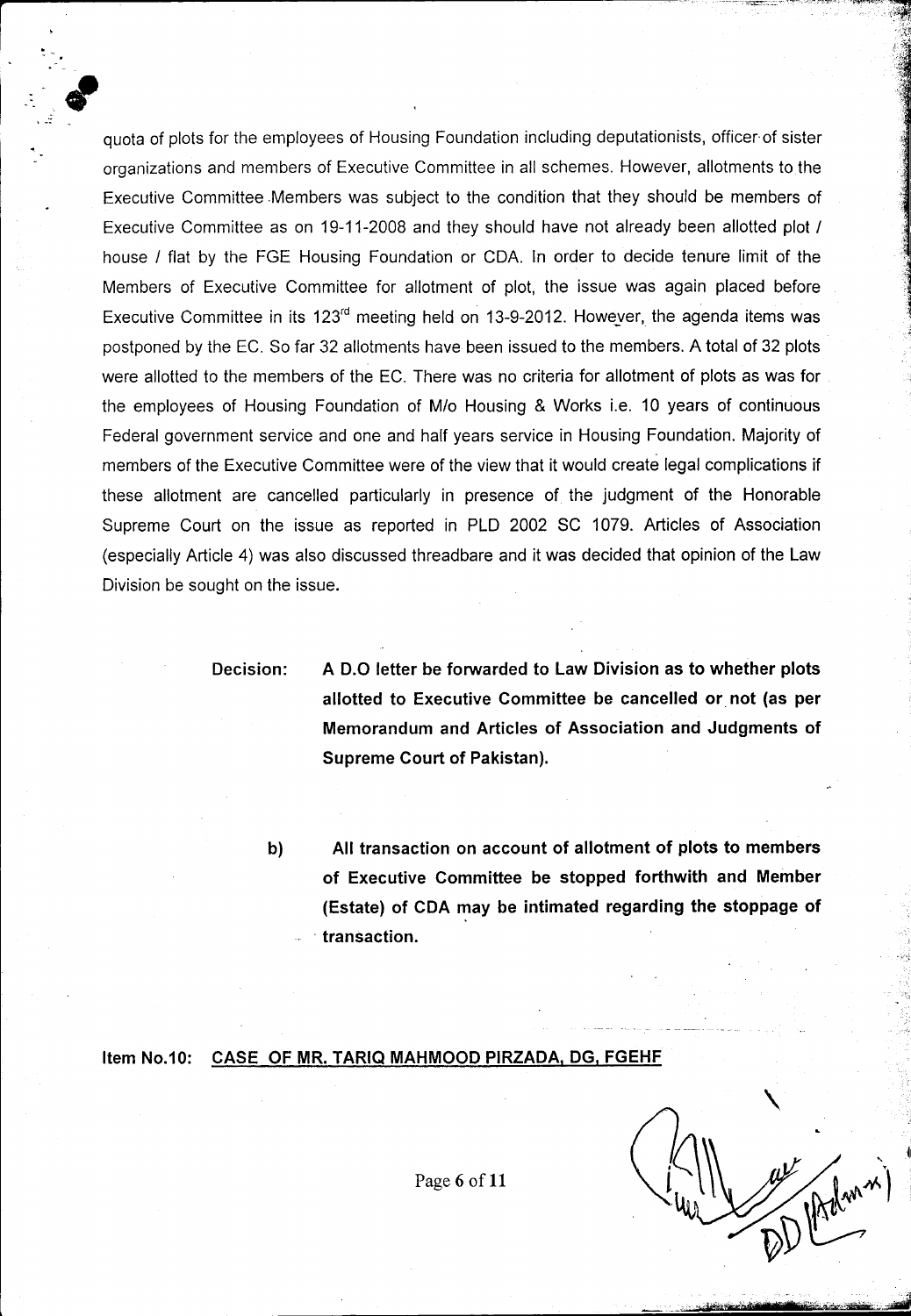quota of plots for the employees of Housing Foundation including deputationists, officer of sister organizations and members of Executive Committee in all schemes. However, allotments to the Executive Committee .Members was subject to the condition that they should be members of Executive Committee as on 19-11-2008 and they should have not already been allotted plot *I* house *I* flat by the FGE Housing Foundation or CDA. In order to decide tenure limit of the Members of Executive Committee for allotment of plot, the issue was again placed before Executive Committee in its 123<sup>rd</sup> meeting held on 13-9-2012. However, the agenda items was postponed by the EC. So far 32 allotments have been issued to the members. A total of 32 plots were allotted to the members of the EC. There was no criteria for allotment of plots as was for the employees of Housing Foundation of *Mlo* Housing & Works i.e. 10 years of continuous Federal government service and one and half years service in Housing Foundation. Majority of members of the Executive Committee were of the view that it would create legal complications if these allotment are cancelled particularly in presence of the judgment of the Honorable Supreme Court on the issue as reported in PLD 2002 SC 1079. Articles of Association (especially Article 4) was also discussed threadbare and it was decided that opinion of the Law Division be sought on the issue.

 $\frac{1}{2}$  .  $\frac{1}{2}$  .  $\frac{1}{2}$  ,  $\frac{1}{2}$  ,  $\frac{1}{2}$  ,  $\frac{1}{2}$  ,  $\frac{1}{2}$  ,  $\frac{1}{2}$  ,  $\frac{1}{2}$  ,  $\frac{1}{2}$  ,  $\frac{1}{2}$  ,  $\frac{1}{2}$  ,  $\frac{1}{2}$  ,  $\frac{1}{2}$  ,  $\frac{1}{2}$  ,  $\frac{1}{2}$  ,  $\frac{1}{2}$  ,  $\frac{1}{2}$  ,  $\frac{1$ 

**Decision:**

"<br>"<br>"

**A 0.0 letter be forwarded to Law Division as to whether plots allotted to Executive Committee be cancelled or. not (as per Memorandum and Articles of Association and Judgments of Supreme Court of Pakistan).**

**b)**

**All transaction on account of allotment of plots to members of Executive Committee be stopped forthwith and Member (Estate) of CDA may be intimated regarding the stoppage of . transaction.**

**Item NO.10: CASE OF MR. TARIQ MAHMOOD PIRZADA, DG, FGEHF**

 $\ddot{\phantom{0}}$ •.. ~I  $\widehat{\mathcal{M}}^{(m,n')}$  $\mathbb{D}$ 

.."..•.,'WM-butr!ft.rt;ii'l~i"""WTii"fi,J

Page 6 of 11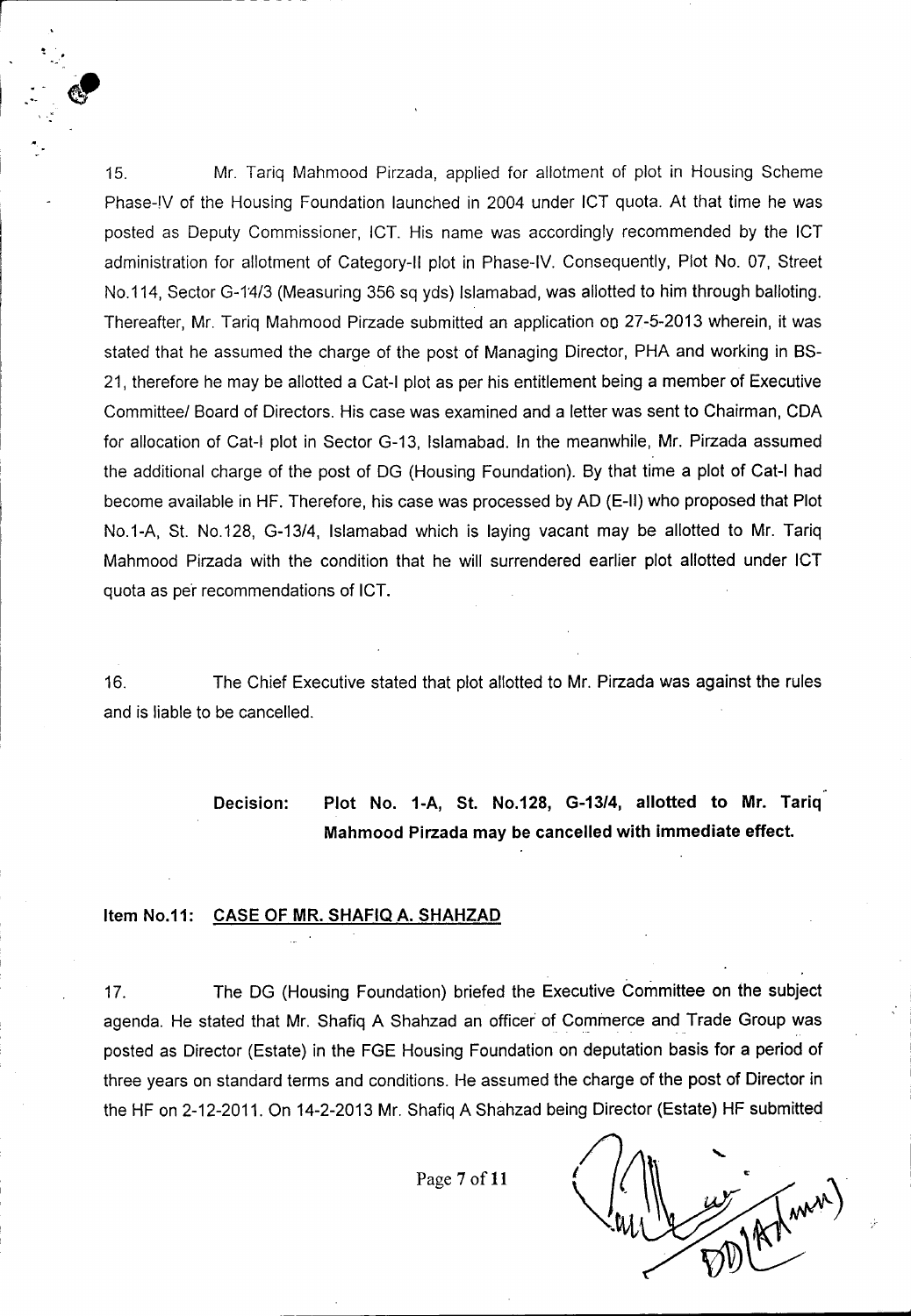15. Mr. Tariq Mahmood Pirzada, applied for allotment of plot in Housing Scheme Phase-IV of the Housing Foundation launched in 2004 under ICT quota. At that time he was posted as Deputy Commissioner, ICT. His name was accordingly recommended by the ICT administration for allotment of Category-II plot in Phase-IV. Consequently, Plot No. 07, Street No.114, Sector G-14/3 (Measuring 356 sq yds) Islamabad, was allotted to him through balloting. Thereafter, Mr. Tariq Mahmood Pirzade submitted an application 00 27-5-2013 wherein, it was stated that he assumed the charge of the post of Managing Director, PHA and working in BS-21, therefore he may be allotted a Cat-I plot as per his entitlement being a member of Executive Committee/ Board of Directors. His case was examined and a letter was sent to Chairman, CDA for allocation of Cat-I plot in Sector G-13, Islamabad. In the meanwhile, Mr. Pirzada assumed the additional charge of the post of DG (Housing Foundation). By that time a plot of Cat-I had become available in HF. Therefore, his case was processed by AD (E-II) who proposed that Plot NO.1-A, St. NO.128, G-13/4, Islamabad which is laying vacant may be allotted to Mr. Tariq Mahmood Pirzada with the condition that he will surrendered earlier plot allotted under ICT quota as pe'r recommendations of ICT.

16. The Chief Executive stated that plot allotted to Mr. Pirzada was against the rules and is liable to be cancelled.

# Decision: Plot No. 1-A, St. No.128, G-13/4, allotted to Mr. Tariq Mahmood Pirzada may be cancelled with immediate effect.

#### Item NO.11: CASE OF MR. SHAFIQ A. SHAHZAD

.'  $\cdot$  ,  $\cdot$ 

~'.

17. The DG (Housing Foundation) briefed the Executive Committee on the subject agenda. He stated that Mr. Shafiq A Shahzad an officer of Commerce and Trade Group was posted as Director (Estate) in the FGE Housing Foundation on deputation basis for a period of three years on standard terms and conditions. He assumed the charge of the post of Director in the HF on 2-12-2011. On 14-2-2013 Mr. Shafiq A Shahzad being Director (Estate) HF submitted

Page 7 of 11

[mm)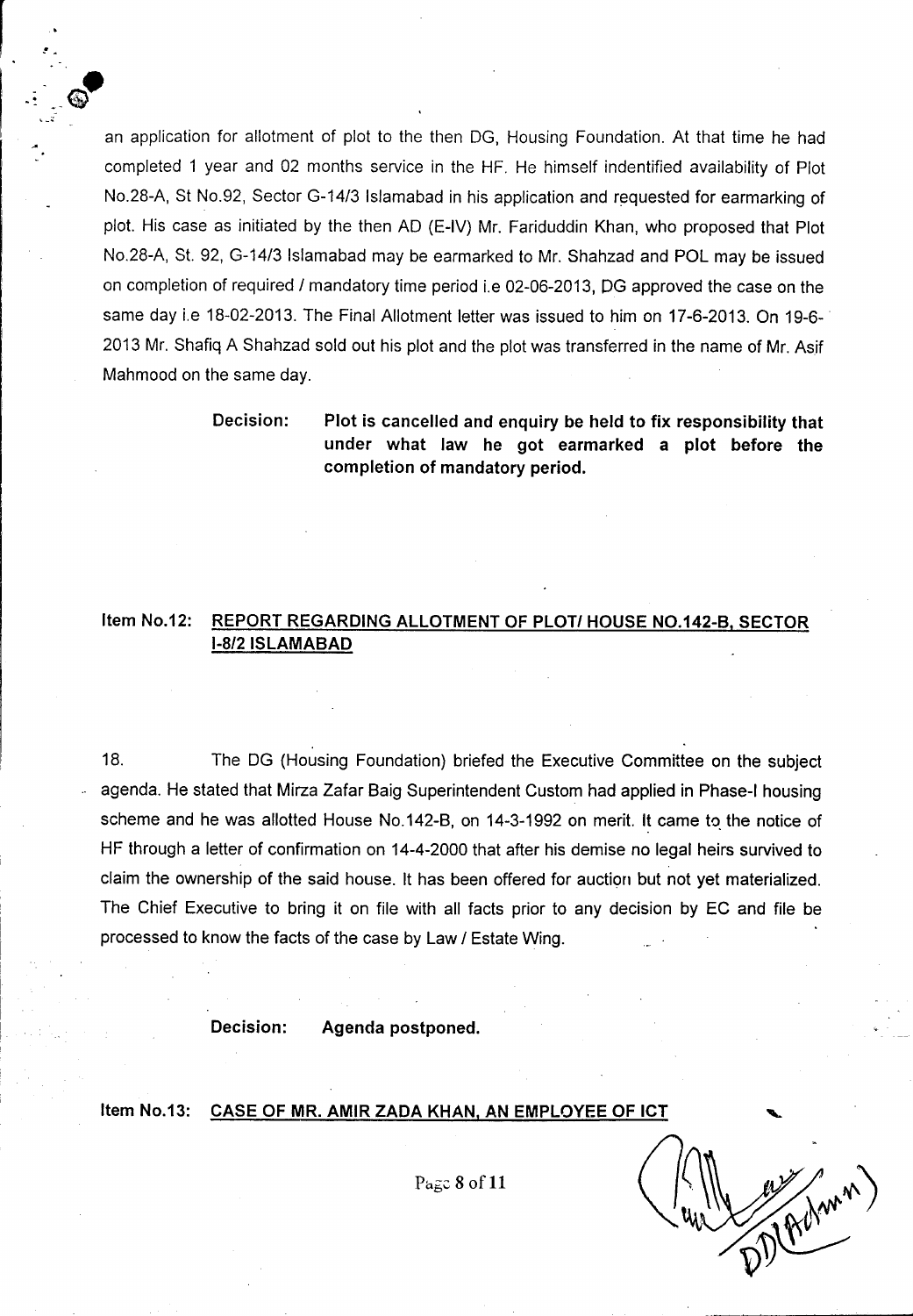an application for allotment of plot to the then DG, Housing Foundation. At that time he had completed 1 year and 02 months service in the HF. He himself indentified availability of Plot No.28-A, St No.92, Sector G-14/3 Islamabad in his application and requested for earmarking of plot. His case as initiated by the then AD (E-IV) Mr. Fariduddin Khan, who proposed that Plot NO.28-A, St. 92, G-14/3 Islamabad may be earmarked to Mr. Shahzad and POL may be issued on completion of required / mandatory time period i.e 02-06-2013, DG approved the case on the same day i.e 18-02-2013. The Final Allotment letter was issued to him on 17-6-2013. On 19-6-2013 Mr. Shafiq A Shahzad sold out his plot and the plot was transferred in the name of Mr. Asif Mahmood on the same day.

~

 $\begin{bmatrix} . & . & . \ . & . & . \ . & . & . \ . & . & . \ . & . & . \ . & . & . \ . & . & . \ . & . & . \ . & . & . \ . & . & . \ . & . & . \ . & . & . \ . \end{bmatrix}$ 

. . ' $\ddot{\cdot}$ -

..

 $\bm{\mathbb{Q}}$ 

.

Decision: Plot is cancelled and enquiry be held to fix responsibility that under what law he got earmarked a plot before the completion of mandatory period.

### Item NO.12: REPORT REGARDING ALLOTMENT OF PLOTI HOUSE NO.142-B, SECTOR 1-812ISLAMABAD

18. The DG (Housing Foundation) briefed the Executive Committee on the subject .' agenda. He stated that Mirza Zafar Baig Superintendent Custom had applied in Phase-I housing scheme and he was allotted House No.142-B, on 14-3-1992 on merit. It came to the notice of HF through a letter of confirmation on 14-4-2000 that after his demise no legal heirs survived to claim the ownership of the said house. It has been offered for auction but not yet materialized. The Chief Executive to bring it on file with all facts prior to any decision by EC and file be processed to know the facts of the case by Law / Estate Wing.

Decision: Agenda postponed.

#### Item No.13: CASE OF MR. AMIR ZADA KHAN, AN EMPLOYEE OF ICT

*Pa6~* 8 of 11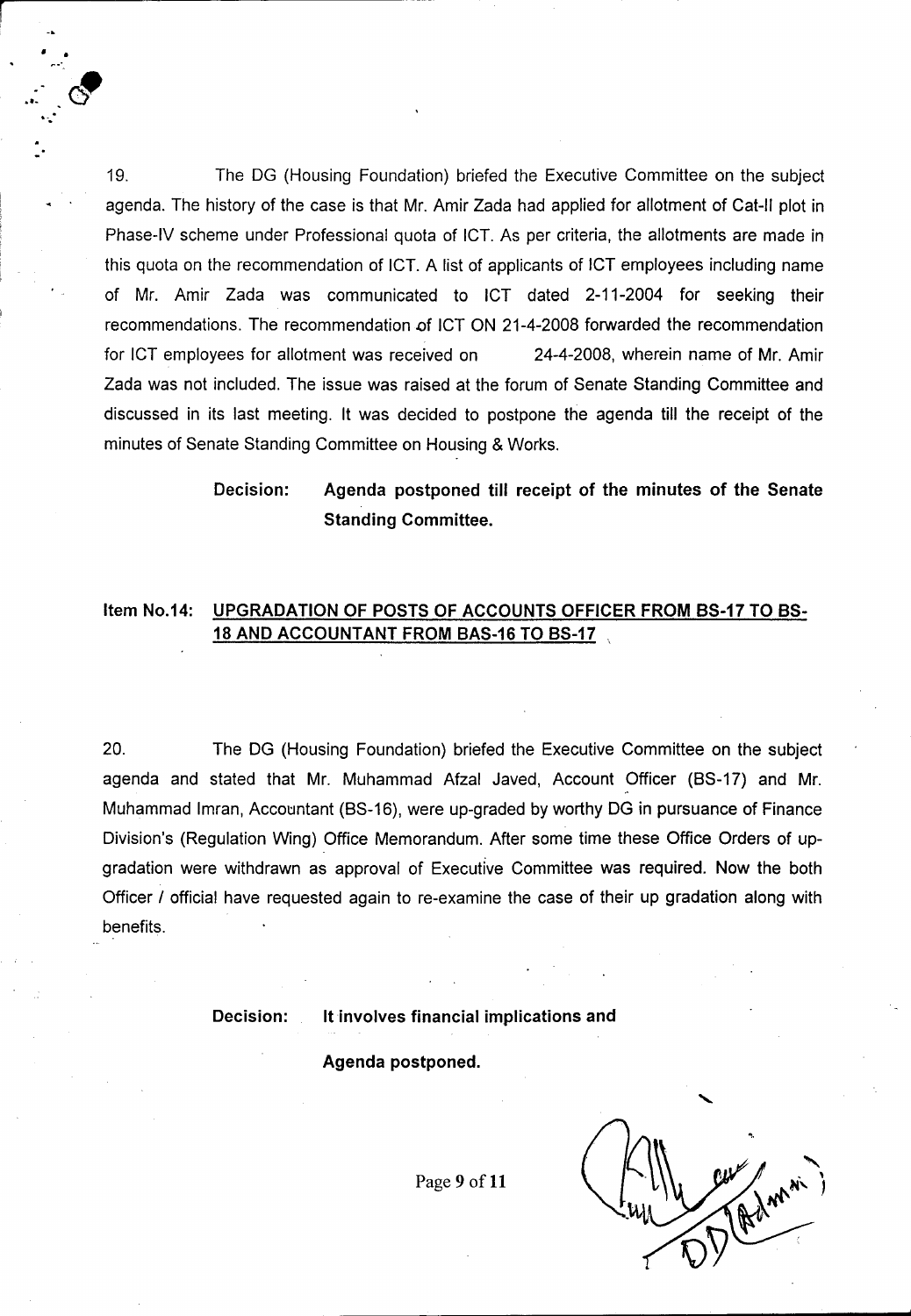19. The DG (Housing Foundation) briefed the Executive Committee on the subject agenda. The history of the case is that Mr. Amir Zada had applied for allotment of Cat-II plot in Phase-IV scheme under Professional quota of ICT. As per criteria, the allotments are made in this quota on the recommendation of ICT. A list of applicants of ICT employees including name of Mr. Amir Zada was communicated to ICT dated 2-11-2004 for seeking their recommendations. The recommendation of ICT ON 21-4-2008 forwarded the recommendation for ICT employees for allotment was received on 24-4-2008, wherein name of Mr. Amir Zada was not included. The issue was raised at the forum of Senate Standing Committee and discussed in its last meeting. It was decided to postpone the agenda till the receipt of the minutes of Senate Standing Committee on Housing & Works.

> Decision: Agenda postponed till receipt of the minutes of the Senate Standing Committee.

## Item No.14: UPGRADATION OF POSTS OF ACCOUNTS OFFICER FROM BS-17 TO BS-18 AND ACCOUNTANT FROM BAS-16 TO BS-17

20. The DG (Housing Foundation) briefed the Executive Committee on the subject agenda and stated that Mr. Muhammad Afzal Javed, Account Officer (8S-17) and Mr. Muhammad Imran, Accountant (BS-16), were up-graded by worthy DG in pursuance of Finance Division's (Regulation Wing) Office Memorandum. After some time these Office Orders of upgradation were withdrawn as approval of Executive Committee was required. Now the both Officer *I* official have requested again to re-examine the case of their up gradation along with benefits.

• •

..

Decision: It involves financial implications and

Agenda postponed.

Page 9 of 11

**"** , ,<br>,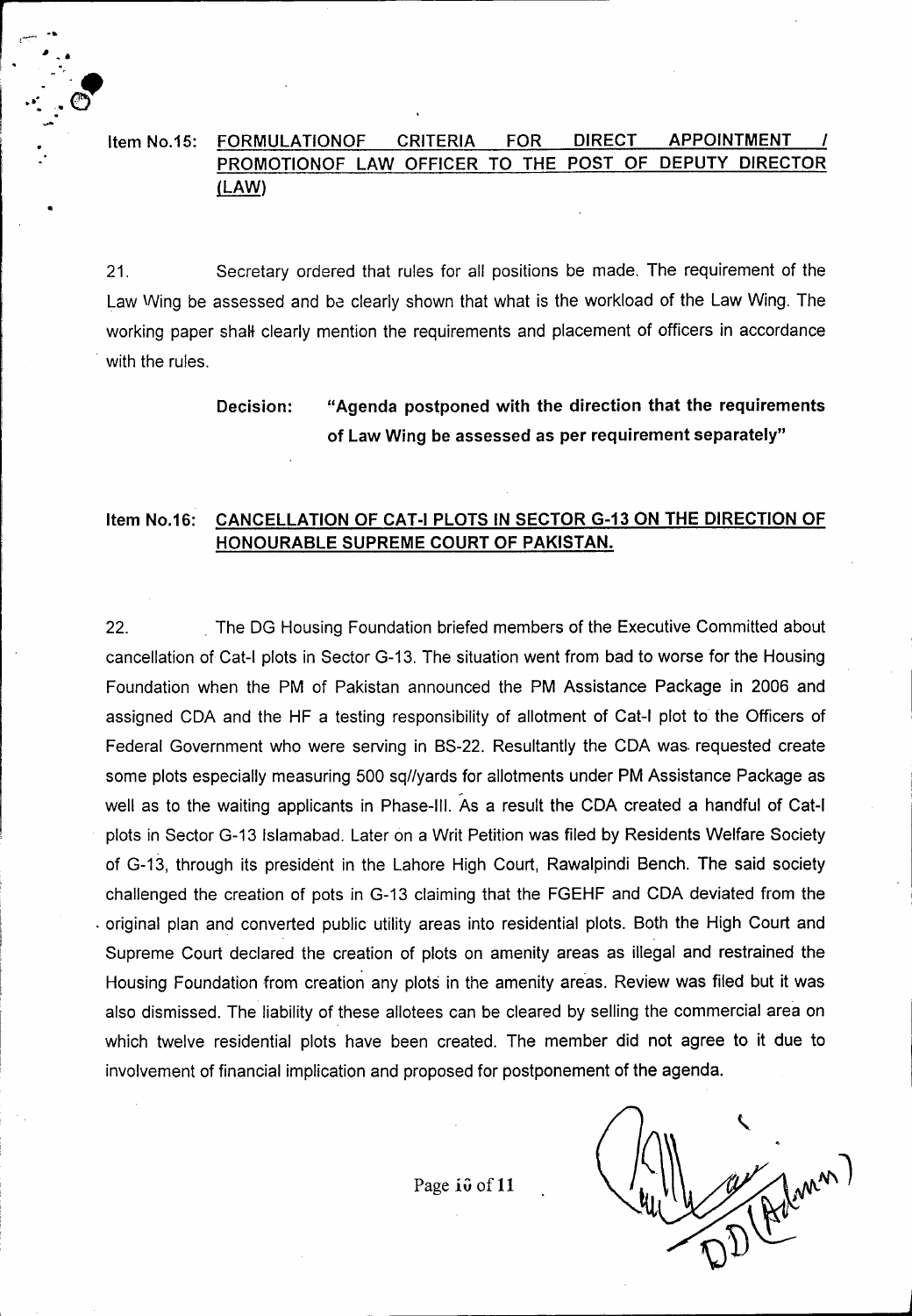## Item NO.15: FORMULATIONOF CRITERIA FOR DIRECT APPOINTMENT *I* PROMOTIONOF LAW OFFICER TO THE POST OF DEPUTY DIRECTOR (LAW)

r *rC.'*

I •

I

 $\ddot{\cdot}$  .

- '." <sup>I</sup> , . . .  $\sqrt{3}$  $\ddot{\cdot}$  .  $\ddot{\cdot}$ 

•

21. Secretary ordered that rules for all positions be made. The requirement of the Law Wing be assessed and ba clearly shown that what is the workload of the Law Wing. The working paper shalt clearly mention the requirements and placement of officers in accordance with the rules.

> Decision: "Agenda postponed with the direction that the requirements of Law Wing be assessed as per requirement separately"

### Item No.16: CANCELLATION OF CAT-I PLOTS IN SECTOR G-13 ON THE DIRECTION OF HONOURABLE SUPREME COURT OF PAKISTAN.

22. The DG Housing Foundation briefed members of the Executive Committed about cancellation of Cat-I plots in Sector G-13. The situation went from bad to worse for the Housing Foundation when the PM of Pakistan announced the PM Assistance Package in 2006 and assigned COA and the HF a testing responsibility of allotment of Cat-I plot to the Officers of Federal Government who were serving in BS-22. Resultantly the COA was. requested create some plots especially measuring 500 sq//yards for allotments under PM Assistance Package as well as to the waiting applicants in Phase-III. As a result the COA created a handful of Cat-I plots in Sector G-13 Islamabad. Later on a Writ Petition was filed by Residents Welfare Society of G-13, through its president in the Lahore High Court, Rawalpindi Bench. The said society challenged the creation of pots in G-13 claiming that the FGEHF and COA deviated from the . original plan and converted public utility areas into residential plots. Both the High Court and Supreme Court declared the creation of plots on amenity areas as illegal and restrained the Housing Foundation from creation any plots in the amenity areas. Review was filed but it was also dismissed. The liability of these allotees can be cleared by selling the commercial area on which twelve residential plots have been created. The member did not agree to it due to involvement of financial implication and proposed for postponement of the agenda.

Page io of 11

 $\mathcal{L}_\text{max}$ 

Alman